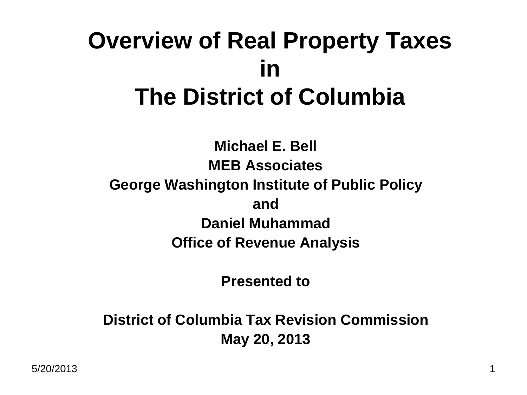#### **Overview of Real Property Taxes in The District of Columbia**

**Michael E. Bell MEB Associates George Washington Institute of Public Policy and Daniel Muhammad Office of Revenue Analysis**

**Presented to**

**District of Columbia Tax Revision Commission May 20, 2013**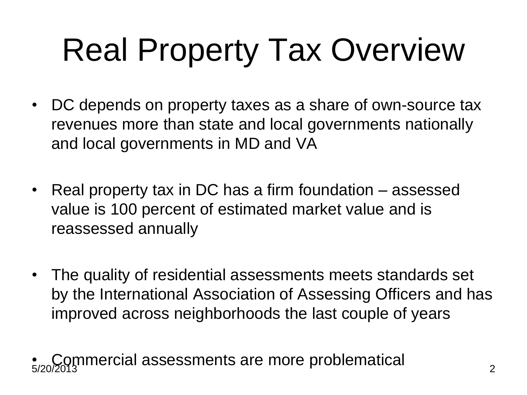# Real Property Tax Overview

- DC depends on property taxes as a share of own-source tax revenues more than state and local governments nationally and local governments in MD and VA
- Real property tax in DC has a firm foundation assessed value is 100 percent of estimated market value and is reassessed annually
- The quality of residential assessments meets standards set by the International Association of Assessing Officers and has improved across neighborhoods the last couple of years

5/20/2013 2 • Commercial assessments are more problematical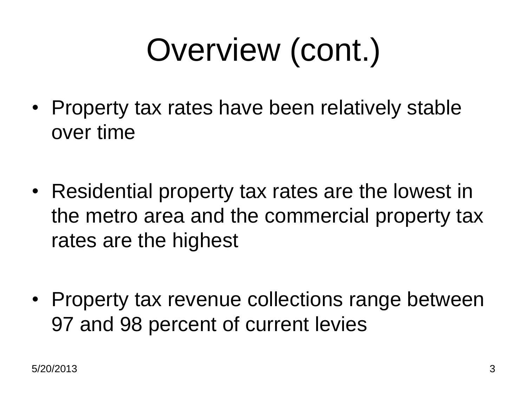### Overview (cont.)

- Property tax rates have been relatively stable over time
- Residential property tax rates are the lowest in the metro area and the commercial property tax rates are the highest
- Property tax revenue collections range between 97 and 98 percent of current levies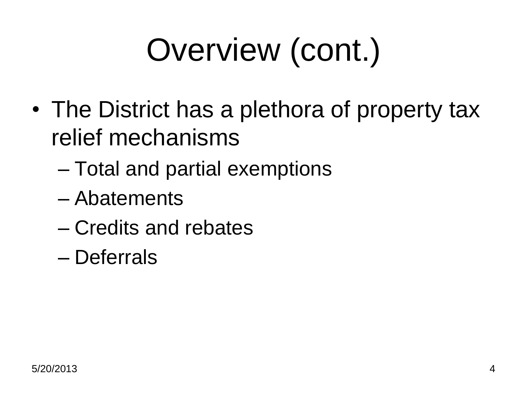# Overview (cont.)

- The District has a plethora of property tax relief mechanisms
	- Total and partial exemptions
	- Abatements
	- Credits and rebates
	- Deferrals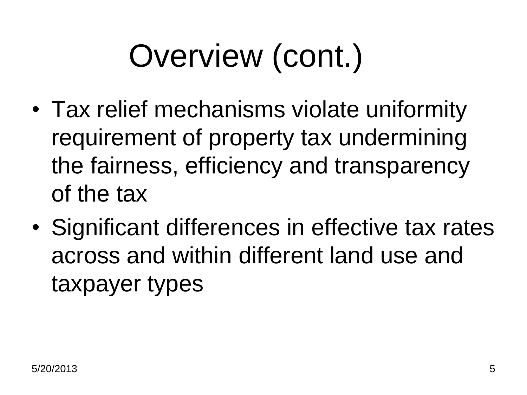#### Overview (cont.)

- Tax relief mechanisms violate uniformity requirement of property tax undermining the fairness, efficiency and transparency of the tax
- Significant differences in effective tax rates across and within different land use and taxpayer types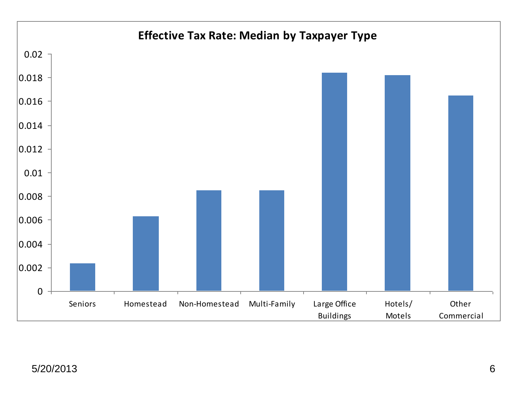

#### 5/20/2013 6